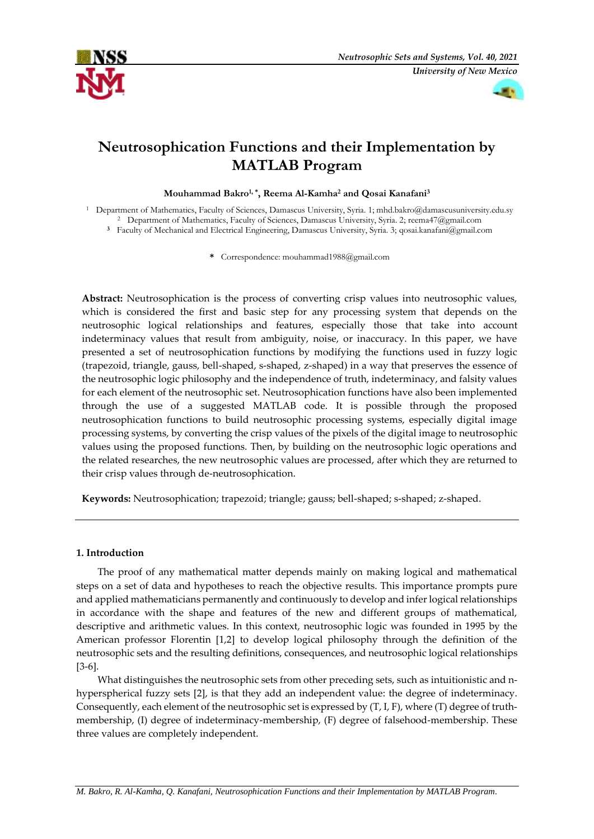



# **Neutrosophication Functions and their Implementation by MATLAB Program**

**Mouhammad Bakro1, \* , Reema Al-Kamha<sup>2</sup> and Qosai Kanafani<sup>3</sup>**

<sup>1</sup> Department of Mathematics, Faculty of Sciences, Damascus University, Syria. 1; mhd.bakro@damascusuniversity.edu.sy <sup>2</sup> Department of Mathematics, Faculty of Sciences, Damascus University, Syria. 2; [reema47@gmail.com](mailto:reema47@gmail.com)

**<sup>3</sup>** Faculty of Mechanical and Electrical Engineering, Damascus University, Syria. 3; [qosai.kanafani@gmail.com](mailto:qosai.kanafani@gmail.com)

**\*** Correspondence[: mouhammad1988@gmail.com](mailto:mouhammad1988@gmail.com)

**Abstract:** Neutrosophication is the process of converting crisp values into neutrosophic values, which is considered the first and basic step for any processing system that depends on the neutrosophic logical relationships and features, especially those that take into account indeterminacy values that result from ambiguity, noise, or inaccuracy. In this paper, we have presented a set of neutrosophication functions by modifying the functions used in fuzzy logic (trapezoid, triangle, gauss, bell-shaped, s-shaped, z-shaped) in a way that preserves the essence of the neutrosophic logic philosophy and the independence of truth, indeterminacy, and falsity values for each element of the neutrosophic set. Neutrosophication functions have also been implemented through the use of a suggested MATLAB code. It is possible through the proposed neutrosophication functions to build neutrosophic processing systems, especially digital image processing systems, by converting the crisp values of the pixels of the digital image to neutrosophic values using the proposed functions. Then, by building on the neutrosophic logic operations and the related researches, the new neutrosophic values are processed, after which they are returned to their crisp values through de-neutrosophication.

**Keywords:** Neutrosophication; trapezoid; triangle; gauss; bell-shaped; s-shaped; z-shaped.

# **1. Introduction**

The proof of any mathematical matter depends mainly on making logical and mathematical steps on a set of data and hypotheses to reach the objective results. This importance prompts pure and applied mathematicians permanently and continuously to develop and infer logical relationships in accordance with the shape and features of the new and different groups of mathematical, descriptive and arithmetic values. In this context, neutrosophic logic was founded in 1995 by the American professor Florentin [1,2] to develop logical philosophy through the definition of the neutrosophic sets and the resulting definitions, consequences, and neutrosophic logical relationships [3-6].

What distinguishes the neutrosophic sets from other preceding sets, such as intuitionistic and nhyperspherical fuzzy sets [2], is that they add an independent value: the degree of indeterminacy. Consequently, each element of the neutrosophic set is expressed by (T, I, F), where (T) degree of truthmembership, (I) degree of indeterminacy-membership, (F) degree of falsehood-membership. These three values are completely independent.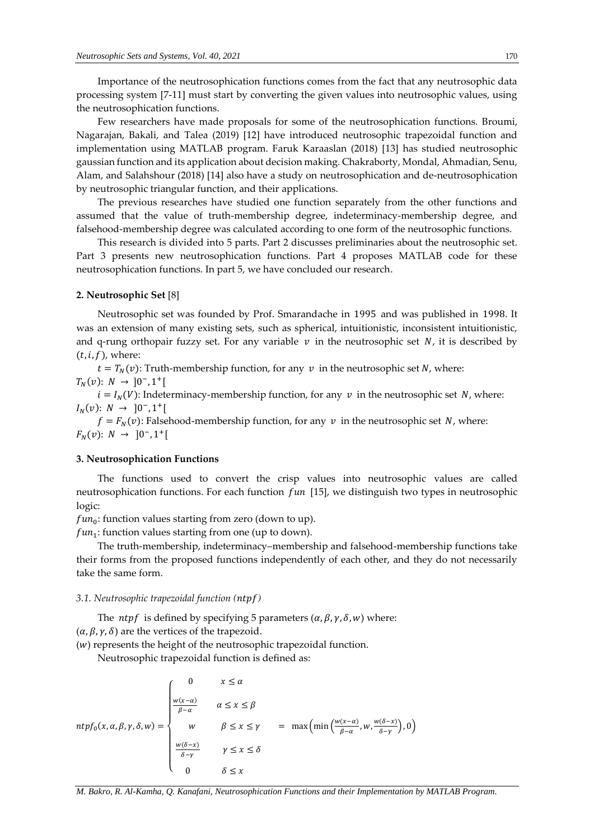Importance of the neutrosophication functions comes from the fact that any neutrosophic data processing system [7-11] must start by converting the given values into neutrosophic values, using the neutrosophication functions.

Few researchers have made proposals for some of the neutrosophication functions. Broumi, Nagarajan, Bakali, and Talea (2019) [12] have introduced neutrosophic trapezoidal function and implementation using MATLAB program. Faruk Karaaslan (2018) [13] has studied neutrosophic gaussian function and its application about decision making. Chakraborty, Mondal, Ahmadian, Senu, Alam, and Salahshour (2018) [14] also have a study on neutrosophication and de-neutrosophication by neutrosophic triangular function, and their applications.

The previous researches have studied one function separately from the other functions and assumed that the value of truth-membership degree, indeterminacy-membership degree, and falsehood-membership degree was calculated according to one form of the neutrosophic functions.

This research is divided into 5 parts. Part 2 discusses preliminaries about the neutrosophic set. Part 3 presents new neutrosophication functions. Part 4 proposes MATLAB code for these neutrosophication functions. In part 5, we have concluded our research.

## **2. Neutrosophic Set** [8]

Neutrosophic set was founded by Prof. Smarandache in 1995 and was published in 1998. It was an extension of many existing sets, such as spherical, intuitionistic, inconsistent intuitionistic, and q-rung orthopair fuzzy set. For any variable  $v$  in the neutrosophic set  $N$ , it is described by  $(t, i, f)$ , where:

 $t = T_N(v)$ : Truth-membership function, for any v in the neutrosophic set N, where:  $T_N(v): N \to ]0^-, 1^+]$ 

 $i = I_N(V)$ : Indeterminacy-membership function, for any  $v$  in the neutrosophic set N, where:  $I_N(v)$ :  $N \to [0^-, 1^+]$ 

 $f = F_N(v)$ : Falsehood-membership function, for any v in the neutrosophic set N, where:  $F_N(v): N \to [0^-, 1^+]$ 

#### **3. Neutrosophication Functions**

The functions used to convert the crisp values into neutrosophic values are called neutrosophication functions. For each function  $fun$  [15], we distinguish two types in neutrosophic logic:

 $fun_0$ : function values starting from zero (down to up).

 $fun_1$ : function values starting from one (up to down).

The truth-membership, indeterminacy–membership and falsehood-membership functions take their forms from the proposed functions independently of each other, and they do not necessarily take the same form.

## *3.1. Neutrosophic trapezoidal function ()*

The *ntpf* is defined by specifying 5 parameters  $(\alpha, \beta, \gamma, \delta, w)$  where:  $(\alpha, \beta, \gamma, \delta)$  are the vertices of the trapezoid.

 $(w)$  represents the height of the neutrosophic trapezoidal function.

Neutrosophic trapezoidal function is defined as:

$$
ntpf_0(x, \alpha, \beta, \gamma, \delta, w) = \begin{cases} 0 & x \le \alpha \\ \frac{w(x-\alpha)}{\beta-\alpha} & \alpha \le x \le \beta \\ w & \beta \le x \le \gamma \\ \frac{w(\delta-x)}{\delta-\gamma} & \gamma \le x \le \delta \\ 0 & \delta \le x \end{cases} = \max\left(\min\left(\frac{w(x-\alpha)}{\beta-\alpha}, w, \frac{w(\delta-x)}{\delta-\gamma}\right), 0\right)
$$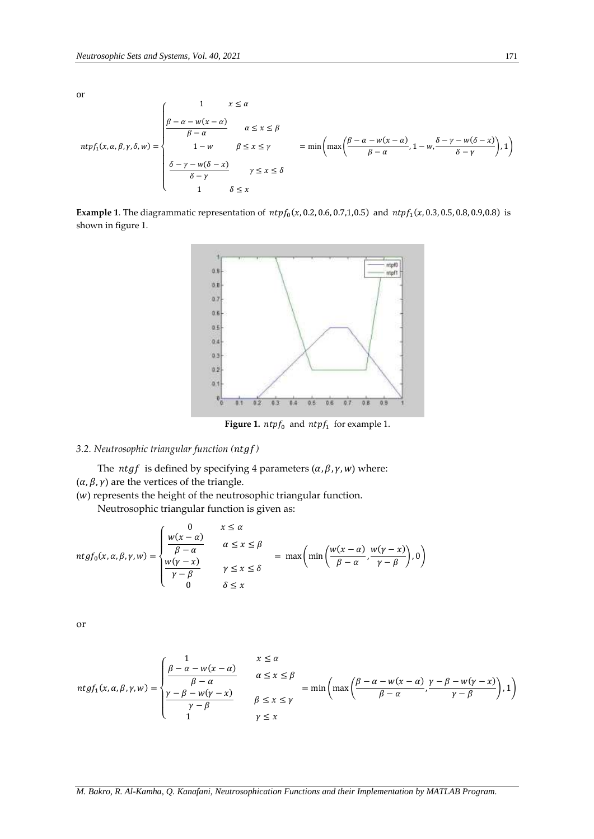or  
\n
$$
ntpf_1(x, \alpha, \beta, \gamma, \delta, w) = \begin{cases}\n1 & x \leq \alpha \\
\frac{\beta - \alpha - w(x - \alpha)}{\beta - \alpha} & \alpha \leq x \leq \beta \\
1 - w & \beta \leq x \leq \gamma \\
\frac{\delta - \gamma - w(\delta - x)}{\delta - \gamma} & \gamma \leq x \leq \delta\n\end{cases} = \min\left(\max\left(\frac{\beta - \alpha - w(x - \alpha)}{\beta - \alpha}, 1 - w, \frac{\delta - \gamma - w(\delta - x)}{\delta - \gamma}\right), 1\right)
$$

**Example 1**. The diagrammatic representation of  $ntpf_0(x, 0.2, 0.6, 0.7, 1, 0.5)$  and  $ntpf_1(x, 0.3, 0.5, 0.8, 0.9, 0.8)$  is shown in figure 1.



**Figure 1.**  $ntpf_0$  and  $ntpf_1$  for example 1.

# *3.2. Neutrosophic triangular function ()*

The *ntgf* is defined by specifying 4 parameters  $(\alpha, \beta, \gamma, w)$  where:  $(\alpha, \beta, \gamma)$  are the vertices of the triangle.

 $(w)$  represents the height of the neutrosophic triangular function.

Neutrosophic triangular function is given as:

$$
ntgf_0(x, \alpha, \beta, \gamma, w) = \begin{cases} 0 & x \le \alpha \\ \frac{w(x - \alpha)}{\beta - \alpha} & \alpha \le x \le \beta \\ \frac{w(\gamma - x)}{\gamma - \beta} & \gamma \le x \le \delta \\ 0 & \delta \le x \end{cases} = \max \left( \min \left( \frac{w(x - \alpha)}{\beta - \alpha}, \frac{w(\gamma - x)}{\gamma - \beta} \right), 0 \right)
$$

or

$$
ntgf_1(x, \alpha, \beta, \gamma, w) = \begin{cases} \frac{1}{\beta - \alpha} & x \le \alpha \\ \frac{\beta - \alpha - w(x - \alpha)}{\beta - \alpha} & \alpha \le x \le \beta \\ \frac{\gamma - \beta - w(\gamma - x)}{\gamma - \beta} & \beta \le x \le \gamma \end{cases} = \min\left(\max\left(\frac{\beta - \alpha - w(x - \alpha)}{\beta - \alpha}, \frac{\gamma - \beta - w(\gamma - x)}{\gamma - \beta}\right), 1\right)
$$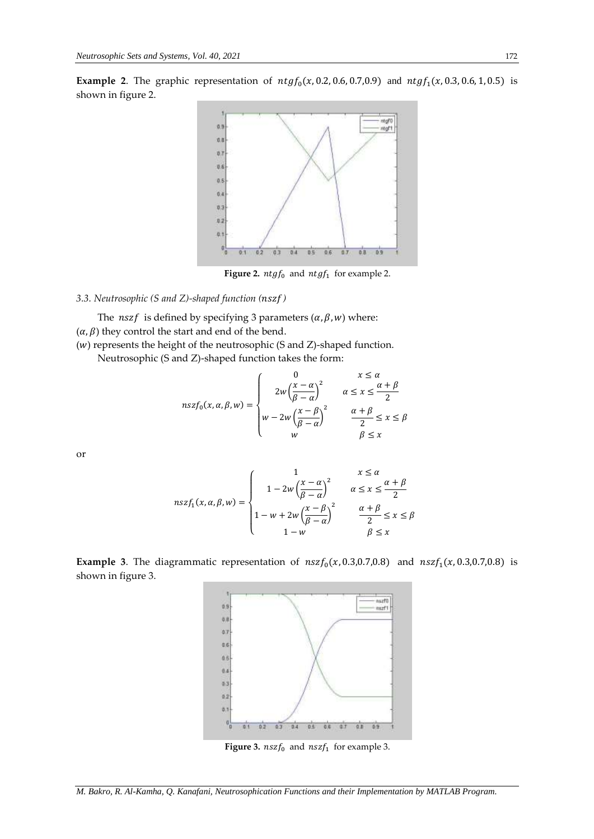**Example 2**. The graphic representation of  $ntgf_0(x, 0.2, 0.6, 0.7, 0.9)$  and  $ntgf_1(x, 0.3, 0.6, 1, 0.5)$  is shown in figure 2.



**Figure 2.**  $ntgf_0$  and  $ntgf_1$  for example 2.

# *3.3. Neutrosophic (S and Z)-shaped function ()*

The *nszf* is defined by specifying 3 parameters  $(\alpha, \beta, w)$  where:  $(\alpha, \beta)$  they control the start and end of the bend.

 $(w)$  represents the height of the neutrosophic (S and Z)-shaped function.

Neutrosophic (S and Z)-shaped function takes the form:

$$
nszf_0(x, \alpha, \beta, w) = \begin{cases} 0 & x \le \alpha \\ 2w\left(\frac{x-\alpha}{\beta-\alpha}\right)^2 & \alpha \le x \le \frac{\alpha+\beta}{2} \\ w - 2w\left(\frac{x-\beta}{\beta-\alpha}\right)^2 & \frac{\alpha+\beta}{2} \le x \le \beta \\ w & \beta \le x \end{cases}
$$

or

$$
nszf_1(x, \alpha, \beta, w) = \begin{cases} 1 & x \le \alpha \\ 1 - 2w\left(\frac{x - \alpha}{\beta - \alpha}\right)^2 & \alpha \le x \le \frac{\alpha + \beta}{2} \\ 1 - w + 2w\left(\frac{x - \beta}{\beta - \alpha}\right)^2 & \frac{\alpha + \beta}{2} \le x \le \beta \\ 1 - w & \beta \le x \end{cases}
$$

**Example 3**. The diagrammatic representation of  $n s z f_0(x, 0.3, 0.7, 0.8)$  and  $n s z f_1(x, 0.3, 0.7, 0.8)$  is shown in figure 3.



**Figure 3.**  $nszf_0$  and  $nszf_1$  for example 3.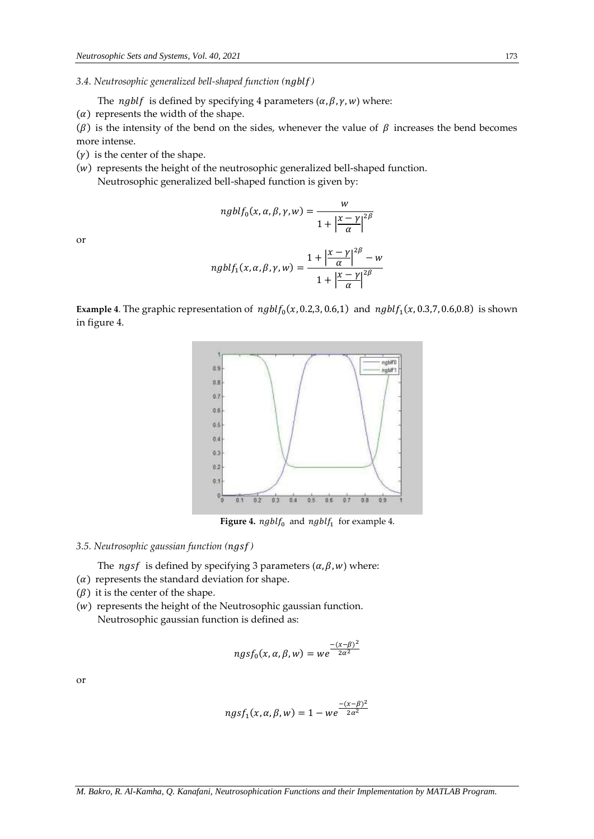*3.4. Neutrosophic generalized bell-shaped function ()*

The *ngblf* is defined by specifying 4 parameters  $(\alpha, \beta, \gamma, w)$  where:

 $(\alpha)$  represents the width of the shape.

( $\beta$ ) is the intensity of the bend on the sides, whenever the value of  $\beta$  increases the bend becomes more intense.

 $(y)$  is the center of the shape.

 $(w)$  represents the height of the neutrosophic generalized bell-shaped function. Neutrosophic generalized bell-shaped function is given by:

> $nghlf_0(x, \alpha, \beta, \gamma, w) = \frac{w}{\sqrt{w_0}}$  $1 + \frac{x - \gamma}{\alpha}$  $\left| \frac{-\gamma}{\alpha} \right|^{2\beta}$

or

ngblf<sub>1</sub>(x, 
$$
\alpha
$$
,  $\beta$ ,  $\gamma$ ,  $w$ ) = 
$$
\frac{1 + \left|\frac{x - \gamma}{\alpha}\right|^{2\beta} - w}{1 + \left|\frac{x - \gamma}{\alpha}\right|^{2\beta}}
$$

**Example 4**. The graphic representation of  $nghlf_0(x, 0.2, 3, 0.6, 1)$  and  $nghlf_1(x, 0.3, 7, 0.6, 0.8)$  is shown in figure 4.



**Figure 4.**  $n g b l f_0$  and  $n g b l f_1$  for example 4.

#### *3.5. Neutrosophic gaussian function ()*

The *ngsf* is defined by specifying 3 parameters  $(\alpha, \beta, w)$  where:

- $(\alpha)$  represents the standard deviation for shape.
- $(\beta)$  it is the center of the shape.
- $(w)$  represents the height of the Neutrosophic gaussian function. Neutrosophic gaussian function is defined as:

$$
ngsf_0(x, \alpha, \beta, w) = we^{\frac{-(x-\beta)^2}{2\alpha^2}}
$$

or

$$
ngsf_1(x, \alpha, \beta, w) = 1 - we^{\frac{-(x-\beta)^2}{2\alpha^2}}
$$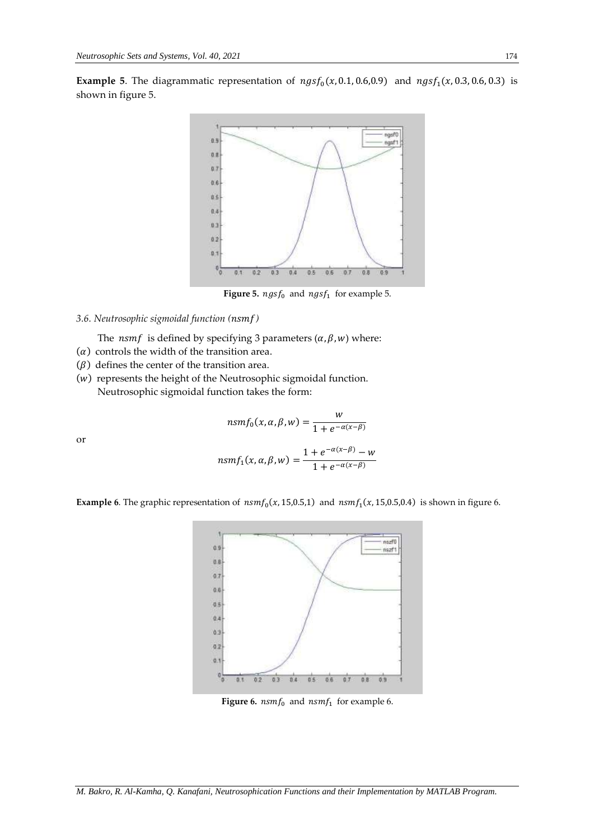**Example 5**. The diagrammatic representation of  $ngsf_0(x, 0.1, 0.6, 0.9)$  and  $ngsf_1(x, 0.3, 0.6, 0.3)$  is shown in figure 5.



**Figure 5.**  $ngsf_0$  and  $ngsf_1$  for example 5.

## *3.6. Neutrosophic sigmoidal function ()*

The *nsmf* is defined by specifying 3 parameters  $(\alpha, \beta, w)$  where:

- $(\alpha)$  controls the width of the transition area.
- $(\beta)$  defines the center of the transition area.
- $(w)$  represents the height of the Neutrosophic sigmoidal function. Neutrosophic sigmoidal function takes the form:

or

$$
nsmf_0(x, \alpha, \beta, w) = \frac{w}{1 + e^{-\alpha(x - \beta)}}
$$

$$
nsmf_1(x, \alpha, \beta, w) = \frac{1 + e^{-\alpha(x - \beta)} - w}{1 + e^{-\alpha(x - \beta)}}
$$

W

**Example 6**. The graphic representation of  $nsmf_0(x, 15,0.5,1)$  and  $nsmf_1(x, 15,0.5,0.4)$  is shown in figure 6.



**Figure 6.**  $n s m f_0$  and  $n s m f_1$  for example 6.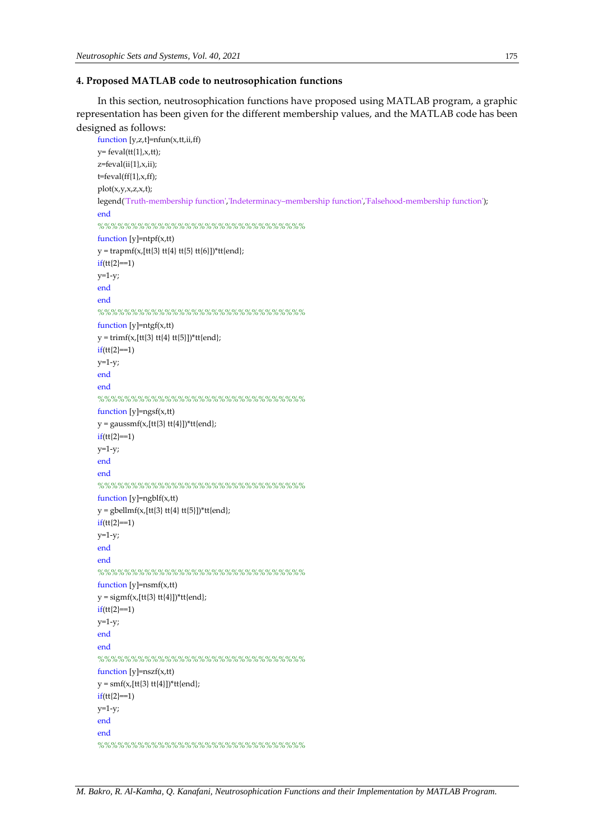## **4. Proposed MATLAB code to neutrosophication functions**

In this section, neutrosophication functions have proposed using MATLAB program, a graphic representation has been given for the different membership values, and the MATLAB code has been designed as follows:

```
function [y,z,t]=nfun(x,tt,iif)y= feval(tt{1},x,tt);
z = f \text{eval}(ii\{1\}, x, ii);t = \text{fewal}(ff\{1\}, x, ff);plot(x,y,x,z,x,t);
legend('Truth-membership function','Indeterminacy–membership function','Falsehood-membership function');
end
%%%%%%%%%%%%%%%%%%%%%%%%%%%%%
function [y]=ntpf(x,tt)
y = trapmf(x,[tt{3}]tt{4}tt[5]tt{6}])*tt{end};if(tt{2}==1)y=1-y;
end
end
%%%%%%%%%%%%%%%%%%%%%%%%%%%%%%
function [y]=ntgf(x,tt)
y = \text{trimf}(x, [tt{3}] \text{ tt}{4} \text{ tt}{5}])^*tt{end};
if(tt{2} == 1)y=1-y;end
end
%%%%%%%%%%%%%%%%%%%%%%%%%%%%%
function [y]=ngsf(x,tt)
y = gaussmf(x,[tt{3} tt{4}])*tt{end};
if(tt{2}==1)y=1-y;end
end
%%%%%%%%%%%%%%%%%%%%%%%%%%%%%%%%%%%
function [y]=ngblf(x,tt)
y = gbellmf(x,[tt{3} tt{4} tt{5}])*tt{end};
if(tt{2}==1)y=1-y;
end
end
%%%%%%%%%%%%%%%%%%%%%%%%%%%%%%
function [y]=nsmf(x,tt)
y = signf(x,[tt{3}]tt{4}])*tt{end};
if(tt{2}==1)y=1-y;
end
end
%%%%%%%%%%%%%%%%%%%%%%%%%%%%%%
function [y] = nszf(x,tt)y = \text{smf}(x, [tt[3]tt[4]])^*tt[end];if(tt{2} == 1)y=1-y;end
end
%%%%%%%%%%%%%%%%%%%%%%%%%%%%%
```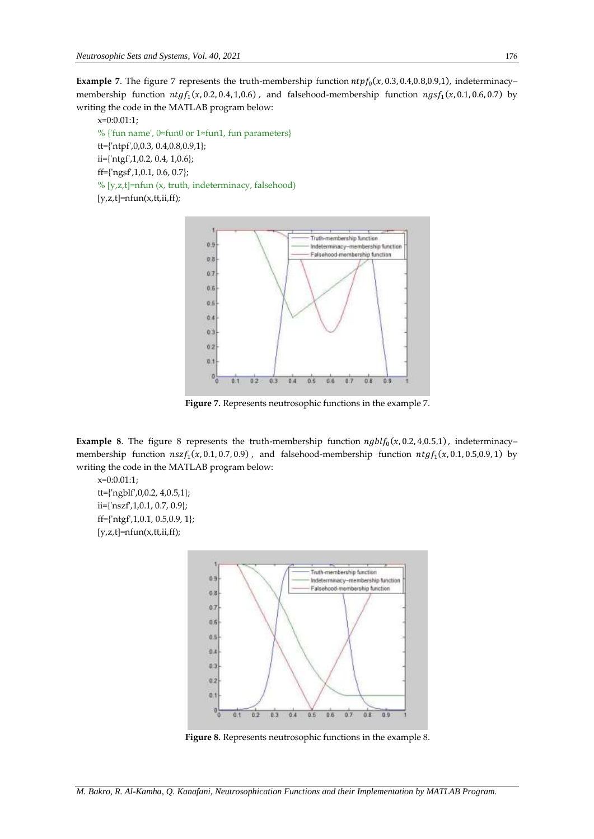**Example** 7. The figure 7 represents the truth-membership function  $ntpf_0(x, 0.3, 0.4, 0.8, 0.9, 1)$ , indeterminacy– membership function  $ntgf_1(x, 0.2, 0.4, 1, 0.6)$ , and falsehood-membership function  $ngsf_1(x, 0.1, 0.6, 0.7)$  by writing the code in the MATLAB program below:

 $x=0:0.01:1;$ % {'fun name', 0≈fun0 or 1≈fun1, fun parameters} tt={'ntpf',0,0.3, 0.4,0.8,0.9,1}; ii={'ntgf',1,0.2, 0.4, 1,0.6}; ff={'ngsf',1,0.1, 0.6, 0.7}; % [y,z,t]=nfun (x, truth, indeterminacy, falsehood)  $[y,z,t]=nfun(x,tt,ii,ff);$ 



**Figure 7.** Represents neutrosophic functions in the example 7.

**Example** 8. The figure 8 represents the truth-membership function  $ngblf_0(x, 0.2, 4, 0.5, 1)$ , indeterminacy– membership function  $n s z f_1(x, 0.1, 0.7, 0.9)$ , and falsehood-membership function  $n t g f_1(x, 0.1, 0.5, 0.9, 1)$  by writing the code in the MATLAB program below:

 $x=0:0.01:1;$ tt={'ngblf',0,0.2, 4,0.5,1}; ii={'nszf',1,0.1, 0.7, 0.9}; ff={'ntgf',1,0.1, 0.5,0.9, 1};  $[y,z,t]=nfun(x,tt,ii,ff);$ 



**Figure 8.** Represents neutrosophic functions in the example 8.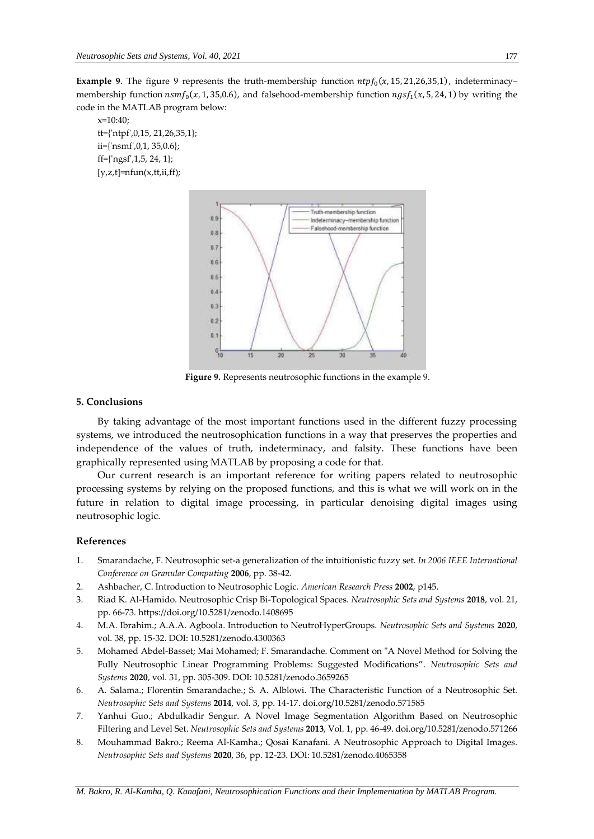**Example** 9. The figure 9 represents the truth-membership function  $ntpf_0(x, 15, 21, 26, 35, 1)$ , indeterminacy– membership function  $n s m f_0(x, 1, 35, 0.6)$ , and falsehood-membership function  $n g s f_1(x, 5, 24, 1)$  by writing the code in the MATLAB program below:

 $x=10:40;$ tt={'ntpf',0,15, 21,26,35,1}; ii={'nsmf',0,1, 35,0.6}; ff={'ngsf',1,5, 24, 1};  $[y,z,t]=n$ fun $(x,tt,iif);$ 



**Figure 9.** Represents neutrosophic functions in the example 9.

## **5. Conclusions**

By taking advantage of the most important functions used in the different fuzzy processing systems, we introduced the neutrosophication functions in a way that preserves the properties and independence of the values of truth, indeterminacy, and falsity. These functions have been graphically represented using MATLAB by proposing a code for that.

Our current research is an important reference for writing papers related to neutrosophic processing systems by relying on the proposed functions, and this is what we will work on in the future in relation to digital image processing, in particular denoising digital images using neutrosophic logic.

## **References**

- 1. Smarandache, F. Neutrosophic set-a generalization of the intuitionistic fuzzy set*. In 2006 IEEE International Conference on Granular Computing* **2006**, pp. 38-42.
- 2. Ashbacher, C. Introduction to Neutrosophic Logic. *American Research Press* **2002**, p145.
- 3. Riad K. Al-Hamido. Neutrosophic Crisp Bi-Topological Spaces. *Neutrosophic Sets and Systems* **2018**, vol. 21, pp. 66-73. https://doi.org/10.5281/zenodo.1408695
- 4. M.A. Ibrahim.; A.A.A. Agboola. Introduction to NeutroHyperGroups. *Neutrosophic Sets and Systems* **2020**, vol. 38, pp. 15-32. DOI: 10.5281/zenodo.4300363
- 5. Mohamed Abdel-Basset; Mai Mohamed; F. Smarandache. Comment on "A Novel Method for Solving the Fully Neutrosophic Linear Programming Problems: Suggested Modifications". *Neutrosophic Sets and Systems* **2020**, vol. 31, pp. 305-309. DOI: 10.5281/zenodo.3659265
- 6. A. Salama.; Florentin Smarandache.; S. A. Alblowi. The Characteristic Function of a Neutrosophic Set. *Neutrosophic Sets and Systems* **2014**, vol. 3, pp. 14-17. doi.org/10.5281/zenodo.571585
- 7. Yanhui Guo.; Abdulkadir Sengur. A Novel Image Segmentation Algorithm Based on Neutrosophic Filtering and Level Set. *Neutrosophic Sets and Systems* **2013**, Vol. 1, pp. 46-49. doi.org/10.5281/zenodo.571266
- 8. Mouhammad Bakro.; Reema Al-Kamha.; Qosai Kanafani. A Neutrosophic Approach to Digital Images. *Neutrosophic Sets and Systems* **2020**, 36, pp. 12-23. DOI: 10.5281/zenodo.4065358